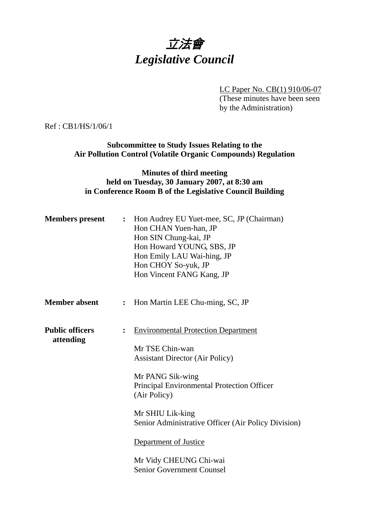# 立法會 *Legislative Council*

LC Paper No. CB(1) 910/06-07 (These minutes have been seen by the Administration)

Ref : CB1/HS/1/06/1

**Subcommittee to Study Issues Relating to the Air Pollution Control (Volatile Organic Compounds) Regulation** 

## **Minutes of third meeting held on Tuesday, 30 January 2007, at 8:30 am in Conference Room B of the Legislative Council Building**

| <b>Members present</b>              | : Hon Audrey EU Yuet-mee, SC, JP (Chairman)<br>Hon CHAN Yuen-han, JP<br>Hon SIN Chung-kai, JP<br>Hon Howard YOUNG, SBS, JP<br>Hon Emily LAU Wai-hing, JP<br>Hon CHOY So-yuk, JP<br>Hon Vincent FANG Kang, JP                                                                                                            |
|-------------------------------------|-------------------------------------------------------------------------------------------------------------------------------------------------------------------------------------------------------------------------------------------------------------------------------------------------------------------------|
| <b>Member absent</b>                | : Hon Martin LEE Chu-ming, SC, JP                                                                                                                                                                                                                                                                                       |
| <b>Public officers</b><br>attending | <b>Environmental Protection Department</b><br>Mr TSE Chin-wan<br><b>Assistant Director (Air Policy)</b><br>Mr PANG Sik-wing<br>Principal Environmental Protection Officer<br>(Air Policy)<br>Mr SHIU Lik-king<br>Senior Administrative Officer (Air Policy Division)<br>Department of Justice<br>Mr Vidy CHEUNG Chi-wai |
|                                     | <b>Senior Government Counsel</b>                                                                                                                                                                                                                                                                                        |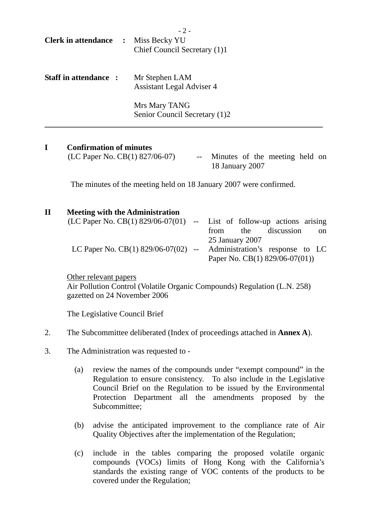| <b>Clerk in attendance</b>   | $\ddot{\cdot}$ | $-2-$<br>Miss Becky YU<br>Chief Council Secretary (1)1 |
|------------------------------|----------------|--------------------------------------------------------|
| <b>Staff in attendance :</b> |                | Mr Stephen LAM<br><b>Assistant Legal Adviser 4</b>     |
|                              |                | Mrs Mary TANG<br>Senior Council Secretary (1)2         |

## **I Confirmation of minutes**

 $(LC$  Paper No.  $CB(1)$  827/06-07) -- Minutes of the meeting held on 18 January 2007

The minutes of the meeting held on 18 January 2007 were confirmed.

#### **II Meeting with the Administration**

| (LC Paper No. CB(1) $829/06-07(01)$ -- List of follow-up actions arising |  |                                 |            |               |
|--------------------------------------------------------------------------|--|---------------------------------|------------|---------------|
|                                                                          |  | from the                        | discussion | <sub>on</sub> |
|                                                                          |  | 25 January 2007                 |            |               |
| LC Paper No. CB(1) $829/06-07(02)$ --                                    |  | Administration's response to LC |            |               |
|                                                                          |  | Paper No. CB(1) $829/06-07(01)$ |            |               |

Other relevant papers

Air Pollution Control (Volatile Organic Compounds) Regulation (L.N. 258) gazetted on 24 November 2006

The Legislative Council Brief

- 2. The Subcommittee deliberated (Index of proceedings attached in **Annex A**).
- 3. The Administration was requested to
	- (a) review the names of the compounds under "exempt compound" in the Regulation to ensure consistency. To also include in the Legislative Council Brief on the Regulation to be issued by the Environmental Protection Department all the amendments proposed by the Subcommittee;
	- (b) advise the anticipated improvement to the compliance rate of Air Quality Objectives after the implementation of the Regulation;
	- (c) include in the tables comparing the proposed volatile organic compounds (VOCs) limits of Hong Kong with the California's standards the existing range of VOC contents of the products to be covered under the Regulation;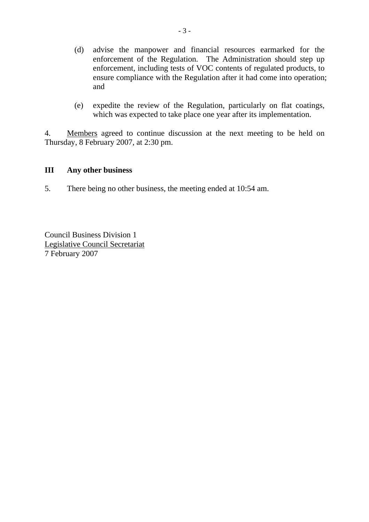- (d) advise the manpower and financial resources earmarked for the enforcement of the Regulation. The Administration should step up enforcement, including tests of VOC contents of regulated products, to ensure compliance with the Regulation after it had come into operation; and
- (e) expedite the review of the Regulation, particularly on flat coatings, which was expected to take place one year after its implementation.

4. Members agreed to continue discussion at the next meeting to be held on Thursday, 8 February 2007, at 2:30 pm.

### **III Any other business**

5. There being no other business, the meeting ended at 10:54 am.

Council Business Division 1 Legislative Council Secretariat 7 February 2007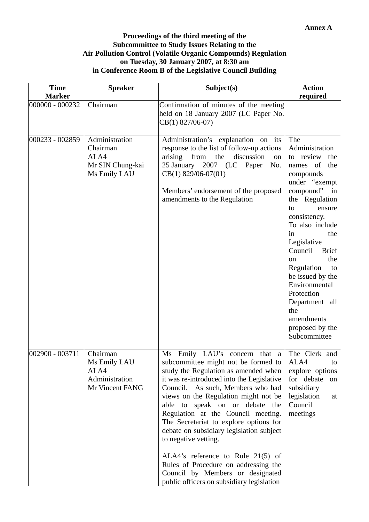#### **Proceedings of the third meeting of the Subcommittee to Study Issues Relating to the Air Pollution Control (Volatile Organic Compounds) Regulation on Tuesday, 30 January 2007, at 8:30 am in Conference Room B of the Legislative Council Building**

| <b>Time</b><br><b>Marker</b> | <b>Speaker</b>                                                         | Subject(s)                                                                                                                                                                                                                                                                                                                                                                                                                                                                                                                                                                                   | <b>Action</b><br>required                                                                                                                                                                                                                                                                                                                                                                                     |
|------------------------------|------------------------------------------------------------------------|----------------------------------------------------------------------------------------------------------------------------------------------------------------------------------------------------------------------------------------------------------------------------------------------------------------------------------------------------------------------------------------------------------------------------------------------------------------------------------------------------------------------------------------------------------------------------------------------|---------------------------------------------------------------------------------------------------------------------------------------------------------------------------------------------------------------------------------------------------------------------------------------------------------------------------------------------------------------------------------------------------------------|
| 000000 - 000232              | Chairman                                                               | Confirmation of minutes of the meeting<br>held on 18 January 2007 (LC Paper No.<br>CB(1) 827/06-07)                                                                                                                                                                                                                                                                                                                                                                                                                                                                                          |                                                                                                                                                                                                                                                                                                                                                                                                               |
| 000233 - 002859              | Administration<br>Chairman<br>ALA4<br>Mr SIN Chung-kai<br>Ms Emily LAU | Administration's explanation on<br>its<br>response to the list of follow-up actions<br>arising<br>from<br>the<br>discussion<br>on<br>25 January 2007 (LC<br>Paper<br>No.<br>$CB(1)$ 829/06-07(01)<br>Members' endorsement of the proposed<br>amendments to the Regulation                                                                                                                                                                                                                                                                                                                    | The<br>Administration<br>review<br>the<br>to<br>of<br>the<br>names<br>compounds<br>under "exempt<br>compound"<br>in<br>the Regulation<br>to<br>ensure<br>consistency.<br>To also include<br>in<br>the<br>Legislative<br>Council<br><b>Brief</b><br>the<br>on<br>Regulation<br>to<br>be issued by the<br>Environmental<br>Protection<br>Department all<br>the<br>amendments<br>proposed by the<br>Subcommittee |
| 002900 - 003711              | Chairman<br>Ms Emily LAU<br>ALA4<br>Administration<br>Mr Vincent FANG  | Ms Emily LAU's concern that a<br>subcommittee might not be formed to<br>study the Regulation as amended when<br>it was re-introduced into the Legislative<br>Council. As such, Members who had<br>views on the Regulation might not be<br>able to speak on or debate the<br>Regulation at the Council meeting.<br>The Secretariat to explore options for<br>debate on subsidiary legislation subject<br>to negative vetting.<br>ALA4's reference to Rule $21(5)$ of<br>Rules of Procedure on addressing the<br>Council by Members or designated<br>public officers on subsidiary legislation | The Clerk and<br>ALA4<br>to<br>explore options<br>for debate<br>on<br>subsidiary<br>legislation<br>at<br>Council<br>meetings                                                                                                                                                                                                                                                                                  |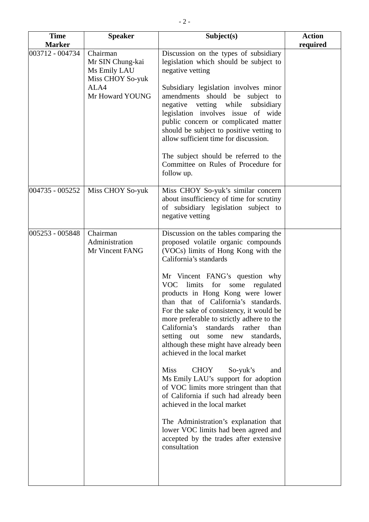| <b>Time</b><br><b>Marker</b> | <b>Speaker</b>                                                                              | Subject(s)                                                                                                                                                                                                                                                                                                                                                                                                                                                                                                                                                                                                                                                                                                                                                                                                                                                                                                      | <b>Action</b><br>required |
|------------------------------|---------------------------------------------------------------------------------------------|-----------------------------------------------------------------------------------------------------------------------------------------------------------------------------------------------------------------------------------------------------------------------------------------------------------------------------------------------------------------------------------------------------------------------------------------------------------------------------------------------------------------------------------------------------------------------------------------------------------------------------------------------------------------------------------------------------------------------------------------------------------------------------------------------------------------------------------------------------------------------------------------------------------------|---------------------------|
| 003712 - 004734              | Chairman<br>Mr SIN Chung-kai<br>Ms Emily LAU<br>Miss CHOY So-yuk<br>ALA4<br>Mr Howard YOUNG | Discussion on the types of subsidiary<br>legislation which should be subject to<br>negative vetting<br>Subsidiary legislation involves minor<br>amendments should be subject to<br>vetting while<br>negative<br>subsidiary<br>legislation involves issue of wide<br>public concern or complicated matter<br>should be subject to positive vetting to<br>allow sufficient time for discussion.<br>The subject should be referred to the<br>Committee on Rules of Procedure for<br>follow up.                                                                                                                                                                                                                                                                                                                                                                                                                     |                           |
| 004735 - 005252              | Miss CHOY So-yuk                                                                            | Miss CHOY So-yuk's similar concern<br>about insufficiency of time for scrutiny<br>of subsidiary legislation subject to<br>negative vetting                                                                                                                                                                                                                                                                                                                                                                                                                                                                                                                                                                                                                                                                                                                                                                      |                           |
| 005253 - 005848              | Chairman<br>Administration<br>Mr Vincent FANG                                               | Discussion on the tables comparing the<br>proposed volatile organic compounds<br>(VOCs) limits of Hong Kong with the<br>California's standards<br>Mr Vincent FANG's question why<br>VOC limits for some<br>regulated<br>products in Hong Kong were lower<br>than that of California's standards.<br>For the sake of consistency, it would be<br>more preferable to strictly adhere to the<br>California's<br>standards rather<br>than<br>setting out<br>standards,<br>some new<br>although these might have already been<br>achieved in the local market<br><b>Miss</b><br><b>CHOY</b><br>So-yuk's<br>and<br>Ms Emily LAU's support for adoption<br>of VOC limits more stringent than that<br>of California if such had already been<br>achieved in the local market<br>The Administration's explanation that<br>lower VOC limits had been agreed and<br>accepted by the trades after extensive<br>consultation |                           |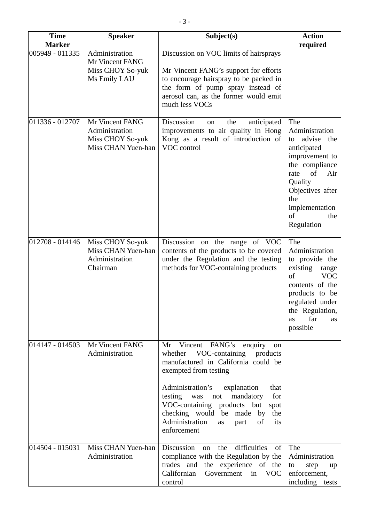| <b>Time</b>                      | <b>Speaker</b>                                                              | Subject(s)                                                                                                                                                                                                                                                                                                                                                              | <b>Action</b>                                                                                                                                                                                           |
|----------------------------------|-----------------------------------------------------------------------------|-------------------------------------------------------------------------------------------------------------------------------------------------------------------------------------------------------------------------------------------------------------------------------------------------------------------------------------------------------------------------|---------------------------------------------------------------------------------------------------------------------------------------------------------------------------------------------------------|
| <b>Marker</b><br>005949 - 011335 | Administration<br>Mr Vincent FANG<br>Miss CHOY So-yuk<br>Ms Emily LAU       | Discussion on VOC limits of hairsprays<br>Mr Vincent FANG's support for efforts<br>to encourage hairspray to be packed in<br>the form of pump spray instead of<br>aerosol can, as the former would emit<br>much less VOCs                                                                                                                                               | required                                                                                                                                                                                                |
| 011336 - 012707                  | Mr Vincent FANG<br>Administration<br>Miss CHOY So-yuk<br>Miss CHAN Yuen-han | Discussion<br>the<br>anticipated<br>on<br>improvements to air quality in Hong<br>Kong as a result of introduction of<br>VOC control                                                                                                                                                                                                                                     | The<br>Administration<br>advise<br>the<br>to<br>anticipated<br>improvement to<br>the compliance<br>of<br>Air<br>rate<br>Quality<br>Objectives after<br>the<br>implementation<br>of<br>the<br>Regulation |
| 012708 - 014146                  | Miss CHOY So-yuk<br>Miss CHAN Yuen-han<br>Administration<br>Chairman        | Discussion on the range of VOC<br>contents of the products to be covered<br>under the Regulation and the testing<br>methods for VOC-containing products                                                                                                                                                                                                                 | The<br>Administration<br>to provide the<br>existing<br>range<br>of<br><b>VOC</b><br>contents of the<br>products to be<br>regulated under<br>the Regulation,<br>far<br>as<br>as<br>possible              |
| $ 014147 - 014503 $              | Mr Vincent FANG<br>Administration                                           | Vincent FANG's<br>enquiry<br>Mr<br>on<br>VOC-containing products<br>whether<br>manufactured in California could be<br>exempted from testing<br>Administration's<br>explanation<br>that<br>testing<br>for<br>was<br>mandatory<br>not<br>VOC-containing products but<br>spot<br>checking would be made by the<br>Administration<br>of<br>part<br>its<br>as<br>enforcement |                                                                                                                                                                                                         |
| $ 014504 - 015031$               | Miss CHAN Yuen-han<br>Administration                                        | Discussion<br>difficulties<br>the<br>of<br>on<br>compliance with the Regulation by the<br>the experience of the<br>trades and<br>Californian<br>Government in VOC<br>control                                                                                                                                                                                            | The<br>Administration<br>step<br>to<br>up<br>enforcement,<br>including<br>tests                                                                                                                         |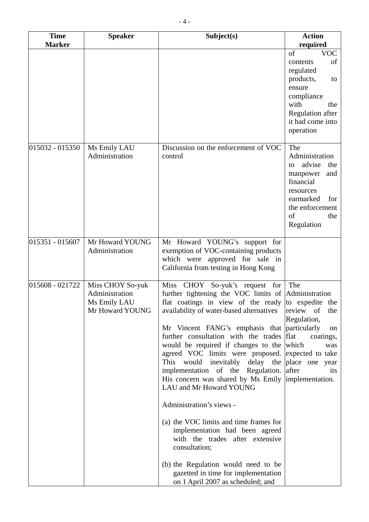| <b>Time</b>     | <b>Speaker</b>                                                        | Subject(s)                                                                                                                                                                                                                                                                                                                                                                                                                                                                                                                                                                                                                                                                                                                                                                                                          | <b>Action</b>                                                                                                                                                              |
|-----------------|-----------------------------------------------------------------------|---------------------------------------------------------------------------------------------------------------------------------------------------------------------------------------------------------------------------------------------------------------------------------------------------------------------------------------------------------------------------------------------------------------------------------------------------------------------------------------------------------------------------------------------------------------------------------------------------------------------------------------------------------------------------------------------------------------------------------------------------------------------------------------------------------------------|----------------------------------------------------------------------------------------------------------------------------------------------------------------------------|
| <b>Marker</b>   |                                                                       |                                                                                                                                                                                                                                                                                                                                                                                                                                                                                                                                                                                                                                                                                                                                                                                                                     | required<br>of<br><b>VOC</b><br>of<br>contents<br>regulated<br>products,<br>to<br>ensure<br>compliance<br>with<br>the<br>Regulation after<br>it had come into<br>operation |
| 015032 - 015350 | Ms Emily LAU<br>Administration                                        | Discussion on the enforcement of VOC<br>control                                                                                                                                                                                                                                                                                                                                                                                                                                                                                                                                                                                                                                                                                                                                                                     | The<br>Administration<br>advise<br>the<br>to<br>manpower<br>and<br>financial<br>resources<br>earmarked<br>for<br>the enforcement<br>of<br>the<br>Regulation                |
| 015351 - 015607 | Mr Howard YOUNG<br>Administration                                     | Mr Howard YOUNG's support for<br>exemption of VOC-containing products<br>which were approved for sale in<br>California from testing in Hong Kong                                                                                                                                                                                                                                                                                                                                                                                                                                                                                                                                                                                                                                                                    |                                                                                                                                                                            |
| 015608 - 021722 | Miss CHOY So-yuk<br>Administration<br>Ms Emily LAU<br>Mr Howard YOUNG | Miss CHOY So-yuk's request for<br>further tightening the VOC limits of Administration<br>flat coatings in view of the ready to expedite the<br>availability of water-based alternatives<br>Mr Vincent FANG's emphasis that particularly<br>further consultation with the trades<br>would be required if changes to the<br>agreed VOC limits were proposed. expected to take<br>This would inevitably delay the<br>implementation of the Regulation.<br>His concern was shared by Ms Emily implementation.<br>LAU and Mr Howard YOUNG<br>Administration's views -<br>(a) the VOC limits and time frames for<br>implementation had been agreed<br>with the trades after extensive<br>consultation;<br>(b) the Regulation would need to be<br>gazetted in time for implementation<br>on 1 April 2007 as scheduled; and | The<br>review of<br>the<br>Regulation,<br>on<br>flat<br>coatings,<br>which<br>was<br>place one year<br>after<br>its                                                        |